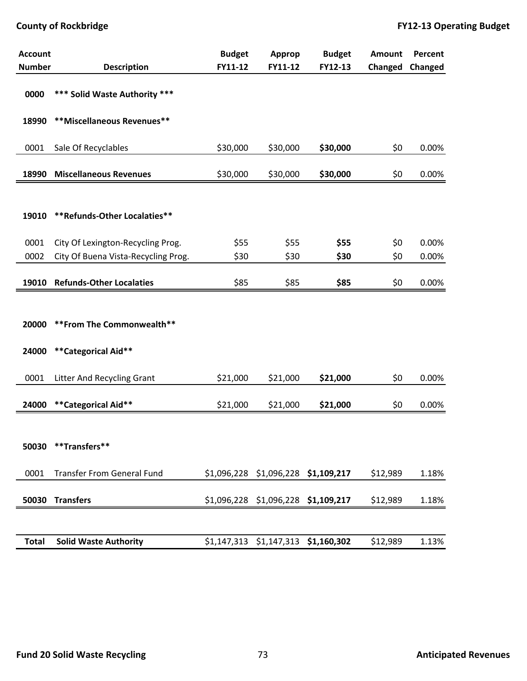| <b>Account</b> |                                     | <b>Budget</b> | <b>Approp</b>                       | <b>Budget</b> | <b>Amount</b> | <b>Percent</b> |
|----------------|-------------------------------------|---------------|-------------------------------------|---------------|---------------|----------------|
| <b>Number</b>  | <b>Description</b>                  | FY11-12       | FY11-12                             | FY12-13       | Changed       | Changed        |
| 0000           | *** Solid Waste Authority ***       |               |                                     |               |               |                |
| 18990          | **Miscellaneous Revenues**          |               |                                     |               |               |                |
| 0001           | Sale Of Recyclables                 | \$30,000      | \$30,000                            | \$30,000      | \$0           | 0.00%          |
| 18990          | <b>Miscellaneous Revenues</b>       | \$30,000      | \$30,000                            | \$30,000      | \$0           | 0.00%          |
| 19010          | **Refunds-Other Localaties**        |               |                                     |               |               |                |
| 0001           | City Of Lexington-Recycling Prog.   | \$55          | \$55                                | \$55          | \$0           | 0.00%          |
| 0002           | City Of Buena Vista-Recycling Prog. | \$30          | \$30                                | \$30          | \$0           | 0.00%          |
| 19010          | <b>Refunds-Other Localaties</b>     | \$85          | \$85                                | \$85          | \$0           | 0.00%          |
|                |                                     |               |                                     |               |               |                |
| 20000          | ** From The Commonwealth**          |               |                                     |               |               |                |
| 24000          | **Categorical Aid**                 |               |                                     |               |               |                |
| 0001           | Litter And Recycling Grant          | \$21,000      | \$21,000                            | \$21,000      | \$0           | 0.00%          |
| 24000          | **Categorical Aid**                 | \$21,000      | \$21,000                            | \$21,000      | \$0           | 0.00%          |
| 50030          | **Transfers**                       |               |                                     |               |               |                |
| 0001           | <b>Transfer From General Fund</b>   |               | \$1,096,228 \$1,096,228 \$1,109,217 |               | \$12,989      | 1.18%          |
| 50030          | <b>Transfers</b>                    |               | \$1,096,228 \$1,096,228 \$1,109,217 |               | \$12,989      | 1.18%          |
|                |                                     |               |                                     |               |               |                |
| <b>Total</b>   | <b>Solid Waste Authority</b>        |               | \$1,147,313 \$1,147,313 \$1,160,302 |               | \$12,989      | 1.13%          |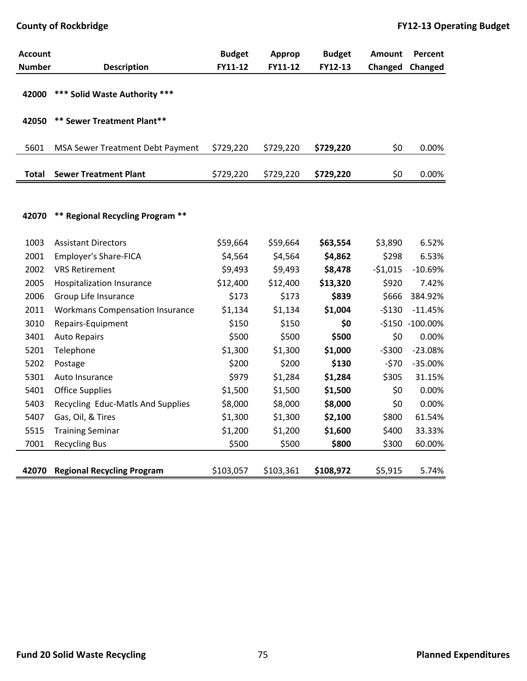| <b>Account</b> |                                        | <b>Budget</b> | Approp    | <b>Budget</b> | <b>Amount</b> | Percent         |
|----------------|----------------------------------------|---------------|-----------|---------------|---------------|-----------------|
| <b>Number</b>  | <b>Description</b>                     | FY11-12       | FY11-12   | FY12-13       | Changed       | Changed         |
| 42000          | *** Solid Waste Authority ***          |               |           |               |               |                 |
| 42050          | ** Sewer Treatment Plant**             |               |           |               |               |                 |
| 5601           | MSA Sewer Treatment Debt Payment       | \$729,220     | \$729,220 | \$729,220     | \$0           | 0.00%           |
| Total          | <b>Sewer Treatment Plant</b>           | \$729,220     | \$729,220 | \$729,220     | \$0           | 0.00%           |
|                |                                        |               |           |               |               |                 |
| 42070          | ** Regional Recycling Program **       |               |           |               |               |                 |
| 1003           | <b>Assistant Directors</b>             | \$59,664      | \$59,664  | \$63,554      | \$3,890       | 6.52%           |
| 2001           | <b>Employer's Share-FICA</b>           | \$4,564       | \$4,564   | \$4,862       | \$298         | 6.53%           |
| 2002           | <b>VRS Retirement</b>                  | \$9,493       | \$9,493   | \$8,478       | $-51,015$     | $-10.69%$       |
| 2005           | Hospitalization Insurance              | \$12,400      | \$12,400  | \$13,320      | \$920         | 7.42%           |
| 2006           | Group Life Insurance                   | \$173         | \$173     | \$839         | \$666         | 384.92%         |
| 2011           | <b>Workmans Compensation Insurance</b> | \$1,134       | \$1,134   | \$1,004       | $-5130$       | $-11.45%$       |
| 3010           | Repairs-Equipment                      | \$150         | \$150     | \$0           |               | -\$150 -100.00% |
| 3401           | <b>Auto Repairs</b>                    | \$500         | \$500     | \$500         | \$0           | 0.00%           |
| 5201           | Telephone                              | \$1,300       | \$1,300   | \$1,000       | $-5300$       | $-23.08%$       |
| 5202           | Postage                                | \$200         | \$200     | \$130         | $-570$        | $-35.00%$       |
| 5301           | Auto Insurance                         | \$979         | \$1,284   | \$1,284       | \$305         | 31.15%          |
| 5401           | <b>Office Supplies</b>                 | \$1,500       | \$1,500   | \$1,500       | \$0           | 0.00%           |
| 5403           | Recycling Educ-Matls And Supplies      | \$8,000       | \$8,000   | \$8,000       | \$0           | 0.00%           |
| 5407           | Gas, Oil, & Tires                      | \$1,300       | \$1,300   | \$2,100       | \$800         | 61.54%          |
| 5515           | <b>Training Seminar</b>                | \$1,200       | \$1,200   | \$1,600       | \$400         | 33.33%          |
| 7001           | <b>Recycling Bus</b>                   | \$500         | \$500     | \$800         | \$300         | 60.00%          |
| 42070          | <b>Regional Recycling Program</b>      | \$103,057     | \$103,361 | \$108,972     | \$5,915       | 5.74%           |